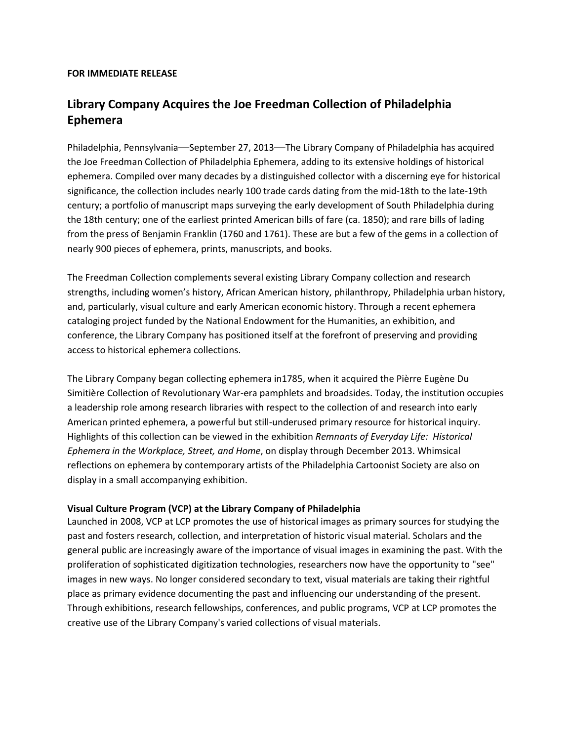## **FOR IMMEDIATE RELEASE**

## **Library Company Acquires the Joe Freedman Collection of Philadelphia Ephemera**

Philadelphia, Pennsylvania—September 27, 2013—The Library Company of Philadelphia has acquired the Joe Freedman Collection of Philadelphia Ephemera, adding to its extensive holdings of historical ephemera. Compiled over many decades by a distinguished collector with a discerning eye for historical significance, the collection includes nearly 100 trade cards dating from the mid-18th to the late-19th century; a portfolio of manuscript maps surveying the early development of South Philadelphia during the 18th century; one of the earliest printed American bills of fare (ca. 1850); and rare bills of lading from the press of Benjamin Franklin (1760 and 1761). These are but a few of the gems in a collection of nearly 900 pieces of ephemera, prints, manuscripts, and books.

The Freedman Collection complements several existing Library Company collection and research strengths, including women's history, African American history, philanthropy, Philadelphia urban history, and, particularly, visual culture and early American economic history. Through a recent ephemera cataloging project funded by the National Endowment for the Humanities, an exhibition, and conference, the Library Company has positioned itself at the forefront of preserving and providing access to historical ephemera collections.

The Library Company began collecting ephemera in1785, when it acquired the Pièrre Eugène Du Simitière Collection of Revolutionary War-era pamphlets and broadsides. Today, the institution occupies a leadership role among research libraries with respect to the collection of and research into early American printed ephemera, a powerful but still-underused primary resource for historical inquiry. Highlights of this collection can be viewed in the exhibition *Remnants of Everyday Life: Historical Ephemera in the Workplace, Street, and Home*, on display through December 2013. Whimsical reflections on ephemera by contemporary artists of the Philadelphia Cartoonist Society are also on display in a small accompanying exhibition.

## **Visual Culture Program (VCP) at the Library Company of Philadelphia**

Launched in 2008, VCP at LCP promotes the use of historical images as primary sources for studying the past and fosters research, collection, and interpretation of historic visual material. Scholars and the general public are increasingly aware of the importance of visual images in examining the past. With the proliferation of sophisticated digitization technologies, researchers now have the opportunity to "see" images in new ways. No longer considered secondary to text, visual materials are taking their rightful place as primary evidence documenting the past and influencing our understanding of the present. Through exhibitions, research fellowships, conferences, and public programs, VCP at LCP promotes the creative use of the Library Company's varied collections of visual materials.